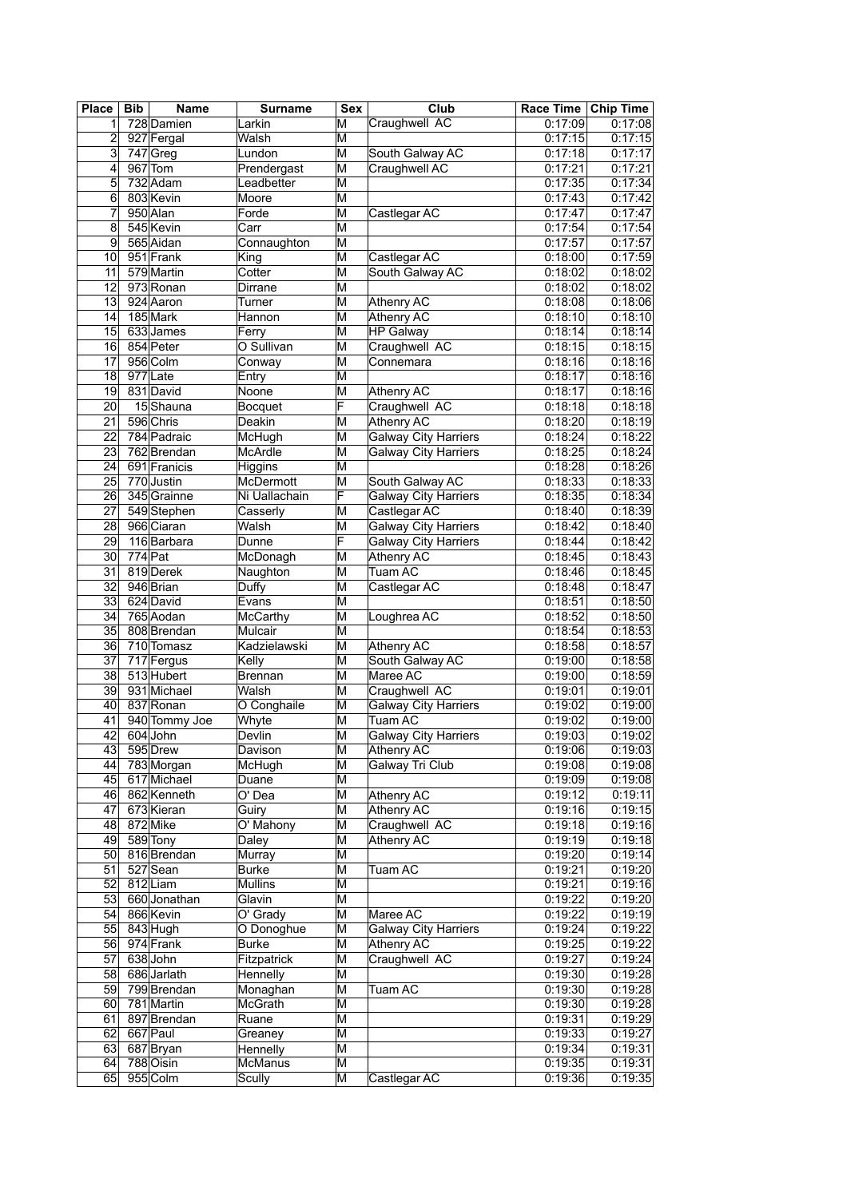| <b>Place</b>    | <b>Bib</b> | <b>Name</b>   | <b>Surname</b>   | <b>Sex</b> | Club                        | Race Time   Chip Time |         |
|-----------------|------------|---------------|------------------|------------|-----------------------------|-----------------------|---------|
| 1               |            | 728 Damien    | Larkin           | М          | Craughwell AC               | 0:17:09               | 0:17:08 |
| 2               |            | 927 Fergal    | Walsh            | M          |                             | 0:17:15               | 0:17:15 |
| 3               |            | 747 Greg      | Lundon           | M          | South Galway AC             | 0:17:18               | 0:17:17 |
| $\overline{4}$  |            | 967 Tom       | Prendergast      | M          | Craughwell AC               | 0:17:21               | 0:17:21 |
| 5               |            | 732 Adam      | Leadbetter       | M          |                             | 0:17:35               | 0:17:34 |
| 6               |            | 803 Kevin     | Moore            | М          |                             | 0:17:43               | 0:17:42 |
| 7               |            | 950 Alan      | Forde            | M          | Castlegar AC                | 0:17:47               | 0:17:47 |
| $\overline{8}$  |            | 545 Kevin     | Carr             | M          |                             | 0:17:54               | 0:17:54 |
| 9               |            | 565 Aidan     | Connaughton      | ΙM         |                             | 0:17:57               | 0:17:57 |
| 10              |            | 951 Frank     | King             | M          | Castlegar AC                | 0:18:00               | 0:17:59 |
| 11              |            | 579 Martin    | Cotter           | M          | South Galway AC             | 0:18:02               | 0:18:02 |
| 12              |            | 973 Ronan     | Dirrane          | M          |                             | 0:18:02               | 0:18:02 |
| 13              |            | 924 Aaron     | Turner           | М          | Athenry AC                  | 0:18:08               | 0.18.06 |
| 14              |            | 185 Mark      | Hannon           | M          | Athenry AC                  | 0:18:10               | 0:18:10 |
| 15              |            | 633 James     | Ferry            | M          | <b>HP Galway</b>            | 0:18:14               | 0:18:14 |
| 16              |            | 854 Peter     | O Sullivan       | M          | Craughwell AC               | 0.18.15               | 0:18:15 |
| 17              |            | 956 Colm      | Conway           | ΙM         | Connemara                   | 0:18:16               | 0:18:16 |
| 18              |            | 977 Late      | Entry            | M          |                             | 0:18:17               | 0:18:16 |
| 19              |            | 831 David     | Noone            | M          | Athenry AC                  | 0:18:17               | 0:18:16 |
| 20              |            | 15 Shauna     | Bocquet          | F          | Craughwell AC               | 0:18:18               | 0:18:18 |
| 21              |            | 596 Chris     | Deakin           | ΙM         | Athenry AC                  | 0:18:20               | 0.18.19 |
|                 |            | 784 Padraic   |                  |            |                             |                       |         |
| 22              |            |               | McHugh           | М          | <b>Galway City Harriers</b> | 0:18:24               | 0:18:22 |
| 23              |            | 762 Brendan   | McArdle          | ΙM         | <b>Galway City Harriers</b> | 0:18:25               | 0:18:24 |
| 24              |            | 691 Franicis  | Higgins          | M          |                             | 0:18.28               | 0:18.26 |
| 25              |            | 770 Justin    | <b>McDermott</b> | M          | South Galway AC             | 0:18:33               | 0:18:33 |
| 26              |            | 345 Grainne   | Ni Uallachain    | F          | <b>Galway City Harriers</b> | 0:18:35               | 0:18:34 |
| 27              |            | 549 Stephen   | Casserly         | M          | Castlegar AC                | 0:18:40               | 0:18:39 |
| 28              |            | 966 Ciaran    | Walsh            | ΙM         | <b>Galway City Harriers</b> | 0:18:42               | 0:18:40 |
| 29              |            | 116 Barbara   | Dunne            | F          | <b>Galway City Harriers</b> | 0:18:44               | 0:18:42 |
| 30              | $774$ Pat  |               | McDonagh         | M          | Athenry AC                  | 0:18:45               | 0:18:43 |
| 31              |            | 819 Derek     | Naughton         | M          | Tuam AC                     | 0:18:46               | 0:18:45 |
| 32              |            | 946 Brian     | Duffy            | M          | Castlegar AC                | 0:18:48               | 0:18.47 |
| 33              |            | 624 David     | Evans            | M          |                             | 0:18:51               | 0:18:50 |
| 34              |            | 765 Aodan     | McCarthy         | M          | Loughrea AC                 | 0:18:52               | 0:18:50 |
| 35              |            | 808 Brendan   | Mulcair          | ΙM         |                             | 0:18:54               | 0:18:53 |
| 36              |            | 710 Tomasz    | Kadzielawski     | ΙM         | Athenry AC                  | 0:18:58               | 0:18:57 |
| 37              |            | 717 Fergus    | Kelly            | M          | South Galway AC             | 0:19:00               | 0:18.58 |
| 38              |            | 513 Hubert    | <b>Brennan</b>   | ΙM         | Maree AC                    | 0:19:00               | 0:18:59 |
| 39              |            | 931 Michael   | Walsh            | M          | Craughwell AC               | 0:19:01               | 0:19:01 |
| 40              |            | 837 Ronan     | O Conghaile      | ΙM         | <b>Galway City Harriers</b> | 0:19:02               | 0:19:00 |
| 41              |            | 940 Tommy Joe | Whyte            | M          | Tuam AC                     | 0:19:02               | 0:19:00 |
| $\overline{42}$ |            | 604 John      | Devlin           | ΙM         | <b>Galway City Harriers</b> | 0:19:03               | 0:19:02 |
| 43              |            | 595 Drew      | Davison          | M          | <b>Athenry AC</b>           | 0:19:06               | 0:19:03 |
| 44              |            | 783 Morgan    | McHugh           | M          | Galway Tri Club             | 0:19:08               | 0.19.08 |
| 45              |            | 617 Michael   | Duane            | M          |                             | 0:19:09               | 0.19.08 |
| 46              |            | 862 Kenneth   | O' Dea           | M          | <b>Athenry AC</b>           | 0:19:12               | 0.19:11 |
| 47              |            | 673 Kieran    | Guiry            | M          | <b>Athenry AC</b>           | 0:19:16               | 0:19:15 |
| 48              |            | 872 Mike      | O' Mahony        | M          | Craughwell AC               | 0:19:18               | 0:19:16 |
| 49              |            | 589 Tony      | Daley            | M          | <b>Athenry AC</b>           | 0:19:19               | 0:19:18 |
| 50              |            | 816 Brendan   | Murray           | M          |                             | 0:19:20               | 0:19:14 |
| 51              |            | 527 Sean      | <b>Burke</b>     | M          | Tuam AC                     | 0:19:21               | 0:19:20 |
| 52              |            | 812Liam       | <b>Mullins</b>   | M          |                             | 0:19:21               | 0:19:16 |
| 53              |            | 660 Jonathan  | Glavin           | M          |                             | 0:19:22               | 0:19:20 |
| 54              |            | 866 Kevin     | O' Grady         | M          | Maree AC                    |                       | 0:19:19 |
|                 |            | 843 Hugh      | O Donoghue       |            | <b>Galway City Harriers</b> | 0:19:22               |         |
| 55              |            |               |                  | M          |                             | 0:19:24               | 0:19:22 |
| 56              |            | 974 Frank     | <b>Burke</b>     | M          | Athenry AC                  | 0:19:25               | 0:19:22 |
| 57              |            | 638 John      | Fitzpatrick      | M          | Craughwell AC               | 0:19:27               | 0:19:24 |
| 58              |            | 686 Jarlath   | Hennelly         | M          |                             | 0:19:30               | 0:19:28 |
| 59              |            | 799 Brendan   | Monaghan         | M          | Tuam AC                     | 0:19:30               | 0:19:28 |
| 60              |            | 781 Martin    | McGrath          | M          |                             | 0:19:30               | 0:19:28 |
| 61              |            | 897 Brendan   | Ruane            | M          |                             | 0:19:31               | 0:19:29 |
| 62              |            | 667 Paul      | Greaney          | M          |                             | 0:19:33               | 0:19:27 |
| 63              |            | 687 Bryan     | Hennelly         | M          |                             | 0:19:34               | 0:19:31 |
| 64              |            | 788 Oisin     | <b>McManus</b>   | M          |                             | 0:19:35               | 0:19:31 |
| 65              |            | 955 Colm      | Scully           | M          | Castlegar AC                | 0:19:36               | 0:19:35 |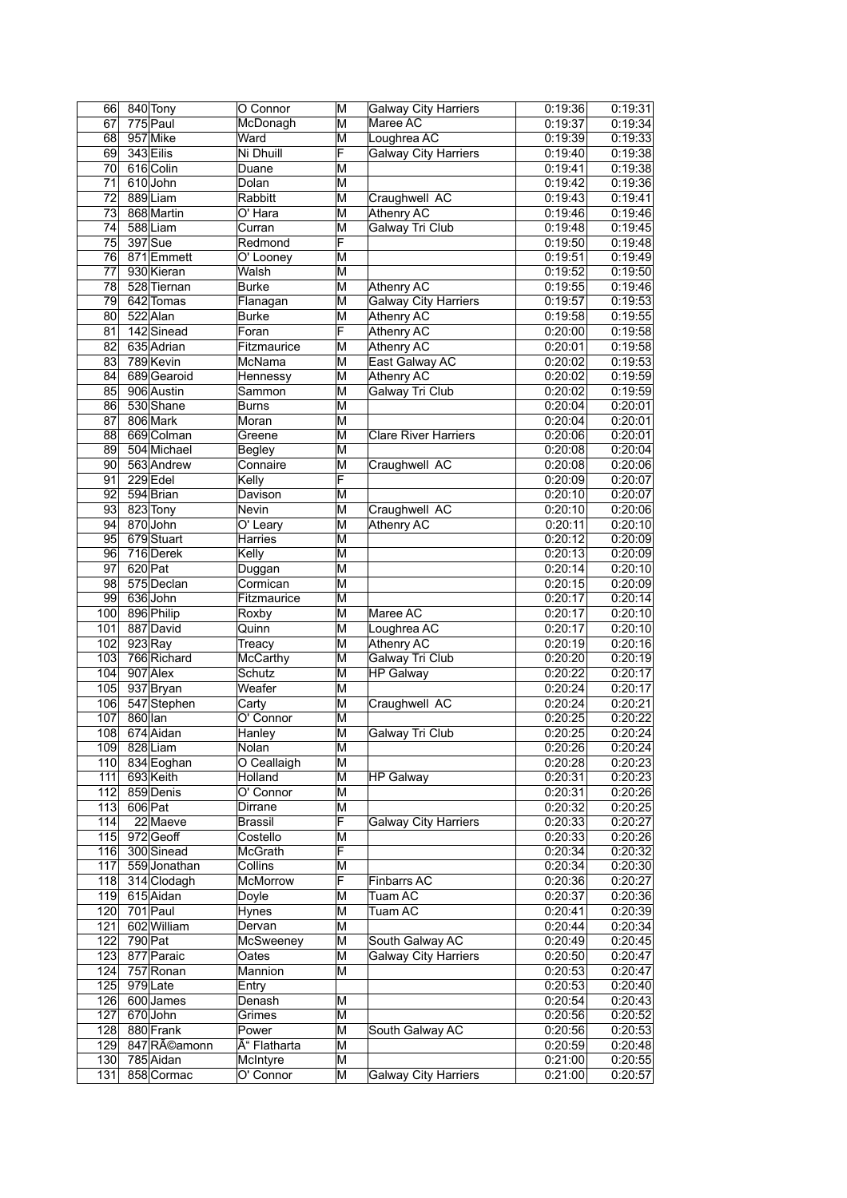| 66               | 840 Tony     | O Connor       | M                       | <b>Galway City Harriers</b> | 0:19:36 | 0:19:31 |
|------------------|--------------|----------------|-------------------------|-----------------------------|---------|---------|
| 67               | 775 Paul     | McDonagh       | M                       | Maree AC                    | 0:19:37 | 0:19:34 |
| 68               | 957 Mike     | Ward           | M                       | Loughrea AC                 | 0:19:39 | 0:19:33 |
| 69               | 343 Eilis    | Ni Dhuill      | F                       | <b>Galway City Harriers</b> | 0:19:40 | 0:19:38 |
| 70               | 616 Colin    | Duane          | ΙM                      |                             | 0:19:41 | 0:19:38 |
| 71               | 610John      | Dolan          | M                       |                             | 0:19:42 | 0:19:36 |
| 72               | 889Liam      | Rabbitt        | M                       | Craughwell AC               | 0:19:43 | 0:19:41 |
| 73               | 868 Martin   | O' Hara        | M                       | <b>Athenry AC</b>           | 0:19:46 | 0:19:46 |
| 74               | 588Liam      | Curran         | M                       | <b>Galway Tri Club</b>      | 0:19:48 | 0:19.45 |
| 75               | 397 Sue      | Redmond        | F                       |                             | 0:19:50 | 0:19:48 |
| 76               | 871 Emmett   | O' Looney      | М                       |                             | 0:19:51 | 0:19:49 |
| $\overline{77}$  | 930 Kieran   | Walsh          | M                       |                             | 0:19:52 | 0:19:50 |
| 78               | 528 Tiernan  | <b>Burke</b>   | M                       | <b>Athenry AC</b>           | 0:19:55 | 0:19.46 |
| 79               | 642 Tomas    | Flanagan       | M                       | <b>Galway City Harriers</b> | 0:19:57 | 0:19:53 |
| 80               | 522 Alan     | Burke          | M                       | Athenry AC                  | 0:19:58 | 0:19:55 |
| 81               | 142 Sinead   | Foran          | F                       | Athenry AC                  | 0:20:00 | 0:19:58 |
| 82               | 635 Adrian   | Fitzmaurice    | ΙM                      | Athenry AC                  | 0:20:01 | 0:19:58 |
| 83               | 789 Kevin    | McNama         | M                       | East Galway AC              | 0:20:02 | 0:19:53 |
| 84               | 689 Gearoid  | Hennessy       | M                       | <b>Athenry AC</b>           | 0:20:02 | 0:19:59 |
| 85               | 906 Austin   | Sammon         | M                       | Galway Tri Club             | 0:20:02 | 0:19:59 |
| 86               | 530 Shane    | <b>Burns</b>   | ΙM                      |                             | 0:20:04 | 0:20:01 |
| 87               | 806 Mark     | Moran          | M                       |                             | 0:20:04 | 0:20:01 |
| 88               | 669 Colman   | Greene         | M                       | <b>Clare River Harriers</b> | 0:20:06 | 0:20:01 |
| 89               | 504 Michael  | <b>Begley</b>  | M                       |                             | 0.20.08 | 0:20:04 |
| 90               | 563 Andrew   | Connaire       | M                       | Craughwell AC               | 0:20:08 | 0:20:06 |
| 91               | 229 Edel     | Kelly          | F                       |                             | 0:20:09 | 0:20:07 |
| 92               | 594 Brian    | Davison        | M                       |                             | 0:20:10 | 0:20:07 |
| 93               | 823 Tony     |                | M                       | Craughwell AC               | 0:20:10 | 0:20:06 |
| 94               | 870John      | Nevin          |                         |                             |         |         |
|                  |              | O' Leary       | M                       | Athenry AC                  | 0:20:11 | 0.20.10 |
| 95<br>96         | 679 Stuart   | Harries        | M                       |                             | 0.20:12 | 0:20:09 |
|                  | 716 Derek    | Kelly          | M                       |                             | 0:20:13 | 0:20:09 |
| 97               | 620 Pat      | Duggan         | ΙM                      |                             | 0:20:14 | 0:20:10 |
| 98               | 575 Declan   | Cormican       | $\overline{\mathsf{M}}$ |                             | 0:20:15 | 0:20:09 |
| 99               | 636 John     | Fitzmaurice    | M                       |                             | 0:20:17 | 0:20:14 |
| 100              | 896 Philip   | Roxby          | M                       | Maree AC                    | 0:20:17 | 0:20:10 |
| 101              | 887 David    | Quinn          | M                       | Loughrea AC                 | 0:20:17 | 0:20:10 |
| 102              | $923$ Ray    | Treacy         | M                       | Athenry AC                  | 0:20:19 | 0.20.16 |
| 103              | 766 Richard  | McCarthy       | M                       | Galway Tri Club             | 0:20:20 | 0:20:19 |
| 104              | 907 Alex     | Schutz         | M                       | <b>HP</b> Galway            | 0:20:22 | 0:20:17 |
| 105              | 937 Bryan    | Weafer         | ΙM                      |                             | 0:20:24 | 0:20:17 |
| 106              | 547 Stephen  | Carty          | M                       | Craughwell AC               | 0.20:24 | 0:20:21 |
| 107              | 860 lan      | O' Connor      | M                       |                             | 0:20:25 | 0:20:22 |
| 108              | 674 Aidan    | Hanley         | M                       | Galway Tri Club             | 0:20:25 | 0:20:24 |
| 109              | 828 Liam     | Nolan          | M                       |                             | 0:20:26 | 0:20:24 |
| 110              | 834 Eoghan   | O Ceallaigh    | M                       |                             | 0:20:28 | 0:20:23 |
| 111              | 693 Keith    | Holland        | M                       | <b>HP Galway</b>            | 0:20:31 | 0:20:23 |
| 112              | 859 Denis    | O' Connor      | М                       |                             | 0:20:31 | 0:20:26 |
| 113              | 606 Pat      | Dirrane        | M                       |                             | 0:20:32 | 0:20:25 |
| 114              | 22 Maeve     | <b>Brassil</b> | F                       | <b>Galway City Harriers</b> | 0:20:33 | 0:20:27 |
| 115              | 972 Geoff    | Costello       | M                       |                             | 0:20:33 | 0:20:26 |
| 116              | 300 Sinead   | McGrath        | F                       |                             | 0:20:34 | 0:20:32 |
| 117              | 559 Jonathan | Collins        | $\overline{\mathsf{M}}$ |                             | 0:20:34 | 0:20:30 |
| 118              | 314 Clodagh  | McMorrow       | F                       | Finbarrs AC                 | 0:20:36 | 0:20:27 |
| 119              | 615 Aidan    | Doyle          | M                       | Tuam AC                     | 0:20:37 | 0:20:36 |
| 120              | $701$ Paul   | Hynes          | M                       | Tuam AC                     | 0:20:41 | 0:20:39 |
| 121              | 602 William  | Dervan         | M                       |                             | 0:20:44 | 0:20:34 |
| 122              | 790 Pat      | McSweeney      | M                       | South Galway AC             | 0:20:49 | 0:20:45 |
| 123              | 877 Paraic   | Oates          | М                       | <b>Galway City Harriers</b> | 0:20:50 | 0:20:47 |
| 124              | 757 Ronan    | Mannion        | M                       |                             | 0:20:53 | 0:20:47 |
| $\overline{125}$ | 979 Late     | Entry          |                         |                             | 0:20:53 | 0:20:40 |
| 126              | 600 James    | Denash         | M                       |                             | 0:20:54 | 0.20.43 |
| 127              | 670 John     | Grimes         | M                       |                             | 0:20:56 | 0:20:52 |
| 128              | 880 Frank    | Power          | M                       | South Galway AC             | 0:20:56 | 0:20:53 |
| 129              | 847 Réamonn  | Ä" Flatharta   | M                       |                             | 0:20:59 | 0:20:48 |
| 130              | 785 Aidan    | McIntyre       | M                       |                             | 0:21:00 | 0:20:55 |
| 131              | 858 Cormac   | O' Connor      |                         |                             |         |         |
|                  |              |                | M                       | <b>Galway City Harriers</b> | 0:21:00 | 0:20:57 |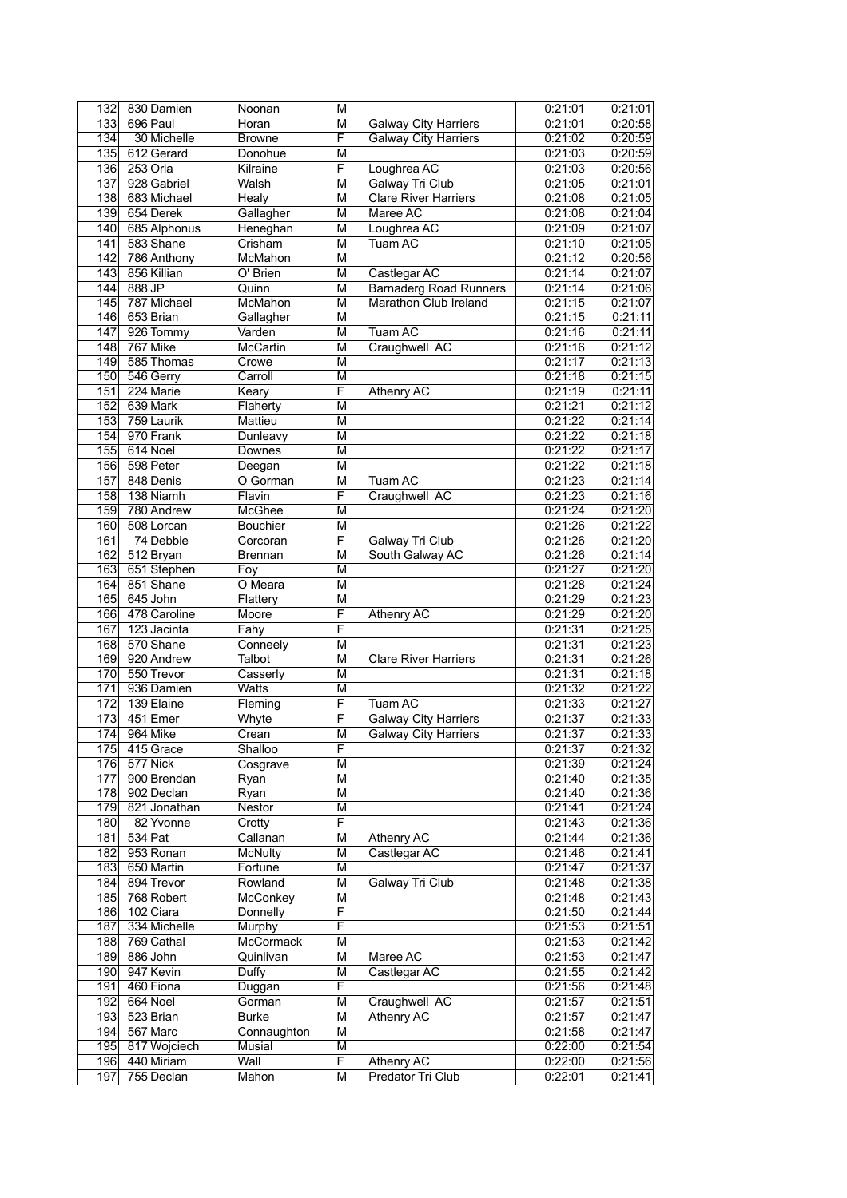| 132             |           | 830 Damien               | Noonan            | M                       |                                                     | 0:21:01            | 0:21:01            |
|-----------------|-----------|--------------------------|-------------------|-------------------------|-----------------------------------------------------|--------------------|--------------------|
| 133             |           | 696 Paul                 | Horan             | M                       | <b>Galway City Harriers</b>                         | 0:21:01            | 0:20:58            |
| 134             |           | 30 Michelle              | <b>Browne</b>     | F                       | <b>Galway City Harriers</b>                         | 0.21:02            | 0:20:59            |
| 135             |           | 612Gerard                | Donohue           | M                       |                                                     | 0:21:03            | 0:20:59            |
| 136             |           | $253$ Orla               | Kilraine          | F                       | Loughrea AC                                         | 0:21:03            | 0:20:56            |
| $\frac{1}{137}$ |           | 928 Gabriel              | Walsh             | M                       | Galway Tri Club                                     | 0:21:05            | 0:21:01            |
| 138             |           | 683 Michael              | Healy             | М                       | <b>Clare River Harriers</b>                         | 0.21.08            | 0:21:05            |
| 139             |           | 654 Derek                | Gallagher         | M                       | Maree AC                                            | 0:21:08            | 0:21:04            |
| 140             |           | 685 Alphonus             | Heneghan          | M                       | Loughrea AC                                         | 0:21:09            | 0:21:07            |
| 141             |           | 583 Shane                | Crisham           | M                       | Tuam AC                                             | 0:21:10            | 0:21:05            |
| 142             |           | 786 Anthony              | McMahon           | M                       |                                                     | 0:21:12            | 0:20:56            |
| 143             |           | 856 Killian              | O' Brien          | M                       | Castlegar AC                                        | 0:21:14            | 0:21:07            |
| 144             | 888JP     |                          | Quinn             | M                       | <b>Barnaderg Road Runners</b>                       | 0:21:14            | 0:21:06            |
| 145             |           | 787 Michael              | McMahon           | M                       | <b>Marathon Club Ireland</b>                        | 0:21:15            | 0:21:07            |
| 146             |           | 653 Brian                | Gallagher         | M                       |                                                     | 0:21:15            | 0.21.11            |
| 147<br> 148     |           | 926 Tommy<br>767 Mike    | Varden            | M<br>M                  | Tuam AC                                             | 0:21:16<br>0.21.16 | 0.21.11<br>0:21:12 |
| 149             |           | 585 Thomas               | McCartin<br>Crowe | ΙM                      | Craughwell AC                                       | 0:21:17            | 0:21:13            |
| 150             |           | 546 Gerry                | Carroll           | М                       |                                                     | 0:21:18            | 0:21:15            |
| 151             |           | 224 Marie                | Keary             | F                       | Athenry AC                                          | 0:21:19            | 0.21.11            |
| 152             |           | 639 Mark                 | Flaherty          | $\overline{\mathsf{M}}$ |                                                     | 0:21:21            | 0:21:12            |
| 153             |           | 759 Laurik               | Mattieu           | ΙM                      |                                                     | 0.21.22            | 0:21:14            |
| 154             |           | 970 Frank                | Dunleavy          | М                       |                                                     | 0.21.22            | 0:21:18            |
| 155             |           | 614 Noel                 | Downes            | M                       |                                                     | 0:21:22            | 0:21:17            |
| 156             |           | 598 Peter                | Deegan            | ΙM                      |                                                     | 0:21:22            | 0:21:18            |
| 157             |           | 848 Denis                | O Gorman          | M                       | Tuam AC                                             | 0:21:23            | 0.21.14            |
| 158             |           | 138 Niamh                | Flavin            | F                       | Craughwell AC                                       | 0:21:23            | 0:21:16            |
| 159             |           | 780 Andrew               | McGhee            | M                       |                                                     | 0:21:24            | 0.21.20            |
| 160             |           | 508 Lorcan               | <b>Bouchier</b>   | M                       |                                                     | 0:21:26            | 0:21:22            |
| 161             |           | 74 Debbie                | Corcoran          | F                       | Galway Tri Club                                     | 0.21:26            | 0:21:20            |
| 162             |           | 512 Bryan                | Brennan           | M                       | South Galway AC                                     | 0:21:26            | 0.21.14            |
| 163             |           | 651 Stephen              | Foy               | M                       |                                                     | 0.21.27            | 0:21:20            |
| 164             |           | 851 Shane                | O Meara           | M                       |                                                     | 0:21:28            | 0:21:24            |
| 165             |           | 645 John                 | Flattery          | M                       |                                                     | 0.21.29            | 0:21:23            |
| 166             |           | 478 Caroline             | Moore             | F                       | Athenry AC                                          | 0:21:29            | 0:21:20            |
| 167             |           | 123 Jacinta              | Fahy              | F                       |                                                     | 0:21:31            | 0:21:25            |
| 168             |           | 570 Shane                | Conneely          | M                       |                                                     | 0.21.31            | 0:21:23            |
| 169             |           | 920 Andrew               | Talbot            | М                       | <b>Clare River Harriers</b>                         | 0:21:31            | 0:21:26            |
| 170             |           | 550 Trevor               | Casserly          | M                       |                                                     | 0:21:31            | 0:21:18            |
| 171             |           | 936 Damien<br>139 Elaine | <b>Watts</b>      | M<br>F                  | Tuam AC                                             | 0.21.32<br>0:21:33 | 0:21:22<br>0:21:27 |
| 172<br>173      |           | 451 Emer                 | Fleming           | F                       |                                                     |                    |                    |
| 174             |           | 964 Mike                 | Whyte             | ΙM                      | <b>Galway City Harriers</b><br>Galway City Harriers | 0:21:37<br>0:21:37 | 0:21:33<br>0:21:33 |
| 175             |           | 415Grace                 | Crean<br>Shalloo  | F                       |                                                     | 0:21:37            | 0.21.32            |
| 176             |           | 577 Nick                 | Cosgrave          | M                       |                                                     | 0:21:39            | 0:21:24            |
| 177             |           | 900 Brendan              | Ryan              | M                       |                                                     | 0:21:40            | 0.21.35            |
| 178             |           | 902 Declan               | Ryan              | M                       |                                                     | 0:21:40            | 0:21:36            |
| 179             |           | 821 Jonathan             | <b>Nestor</b>     | М                       |                                                     | 0:21:41            | 0:21:24            |
| 180             |           | 82 Yvonne                | Crotty            | F                       |                                                     | 0:21:43            | 0:21:36            |
| 181             | $534$ Pat |                          | Callanan          | M                       | Athenry AC                                          | 0:21:44            | 0:21:36            |
| 182             |           | 953 Ronan                | <b>McNulty</b>    | M                       | Castlegar AC                                        | 0:21:46            | 0:21:41            |
| 183             |           | 650 Martin               | Fortune           | M                       |                                                     | 0:21:47            | 0:21:37            |
| 184             |           | 894 Trevor               | Rowland           | M                       | Galway Tri Club                                     | 0.21:48            | 0.21.38            |
| 185             |           | 768 Robert               | McConkey          | M                       |                                                     | 0:21:48            | 0:21:43            |
| 186             |           | 102 Ciara                | <b>Donnelly</b>   | F                       |                                                     | 0:21:50            | 0:21:44            |
| 187             |           | 334 Michelle             | Murphy            | F                       |                                                     | 0:21:53            | 0:21:51            |
| 188             |           | 769 Cathal               | McCormack         | M                       |                                                     | 0:21:53            | 0:21:42            |
| 189             |           | 886John                  | Quinlivan         | M                       | Maree AC                                            | 0:21:53            | 0:21:47            |
| 190             |           | 947 Kevin                | Duffy             | M                       | Castlegar AC                                        | 0:21:55            | 0:21:42            |
| 191             |           | 460 Fiona                | Duggan            | F                       |                                                     | 0:21:56            | 0.21.48            |
| 192             |           | 664 Noel                 | Gorman            | M                       | Craughwell AC                                       | 0:21:57            | 0:21:51            |
| 193             |           | 523 Brian                | <b>Burke</b>      | M                       | Athenry AC                                          | 0:21:57            | 0:21:47            |
| 194             |           | 567 Marc                 | Connaughton       | M                       |                                                     | 0:21:58            | 0:21:47            |
| 195             |           | 817 Wojciech             | Musial            | M                       |                                                     | 0:22:00            | 0:21:54            |
| 196             |           | 440 Miriam               | Wall              | F                       | <b>Athenry AC</b>                                   | 0:22:00            | 0:21:56            |
| 197             |           | 755 Declan               | Mahon             | M                       | Predator Tri Club                                   | 0:22:01            | 0:21:41            |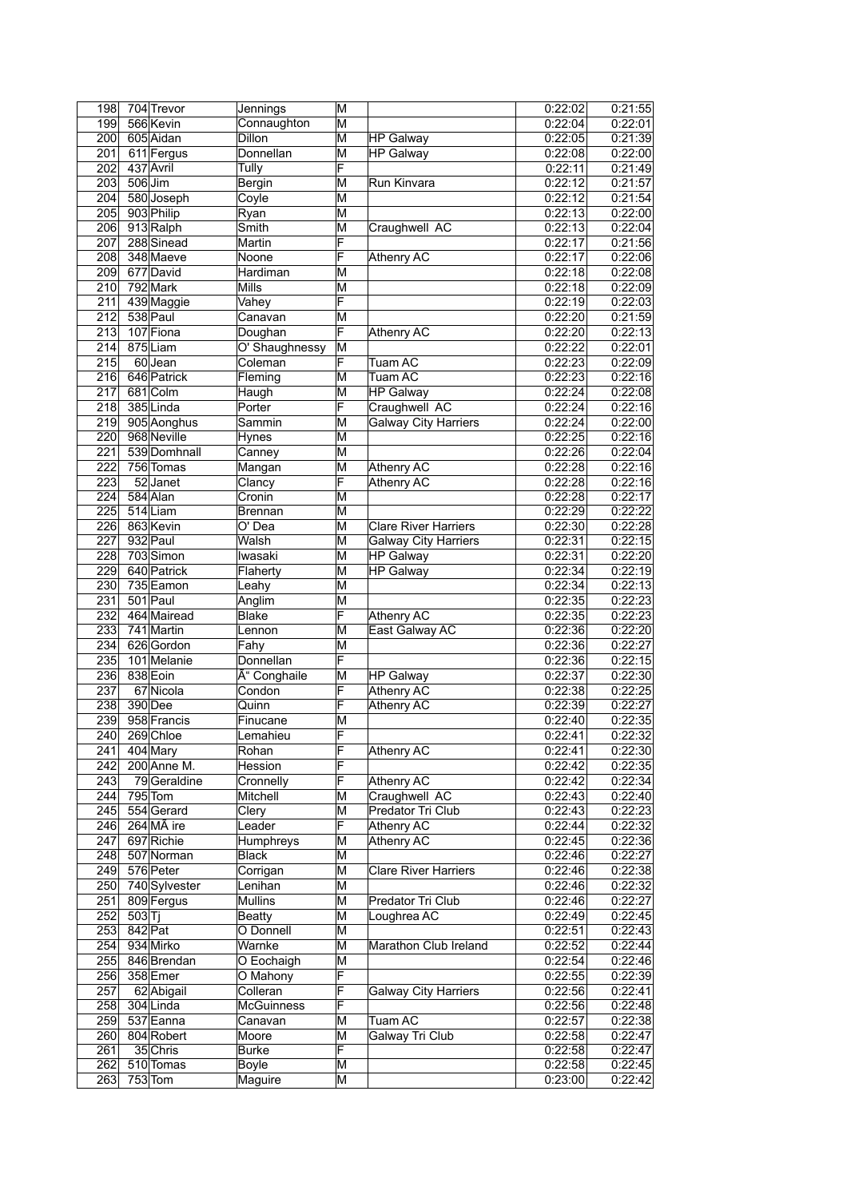| 198              |         | 704 Trevor    | Jennings          | M  |                             | 0:22:02 | 0:21:55 |
|------------------|---------|---------------|-------------------|----|-----------------------------|---------|---------|
| 199              |         | 566 Kevin     | Connaughton       | М  |                             | 0:22:04 | 0:22:01 |
| 200              |         | 605 Aidan     | Dillon            | M  | <b>HP Galway</b>            | 0:22:05 | 0:21:39 |
| 201              |         | 611 Fergus    | Donnellan         | М  | <b>HP Galway</b>            | 0:22:08 | 0:22:00 |
| 202              |         | 437 Avril     | Tully             | F  |                             | 0.22:11 | 0:21:49 |
| 203              |         | $506$ Jim     | Bergin            | М  | Run Kinvara                 | 0:22:12 | 0:21:57 |
| 204              |         | 580 Joseph    | Coyle             | М  |                             | 0.22:12 | 0:21:54 |
| 205              |         | 903 Philip    | Ryan              | M  |                             | 0:22:13 | 0:22:00 |
| 206              |         | 913Ralph      | Smith             | M  | Craughwell AC               | 0:22:13 | 0:22:04 |
| 207              |         | 288 Sinead    | Martin            | F  |                             | 0:22:17 | 0:21:56 |
| 208              |         | 348 Maeve     | Noone             | F  | Athenry AC                  | 0:22:17 | 0:22:06 |
| 209              |         | 677 David     | Hardiman          | M  |                             | 0:22:18 | 0:22:08 |
| 210              |         | 792 Mark      | Mills             | M  |                             | 0:22:18 | 0:22:09 |
| 211              |         | 439 Maggie    | Vahey             | F  |                             | 0:22:19 | 0:22:03 |
| 212              |         | 538 Paul      | Canavan           | M  |                             | 0:22:20 | 0:21:59 |
| 213              |         | 107 Fiona     | Doughan           | F  | <b>Athenry AC</b>           | 0:22:20 | 0:22:13 |
| 214              |         | 875Liam       | O' Shaughnessy    | M  |                             | 0:22:22 | 0:22:01 |
| 215              |         | 60Jean        | Coleman           | F  | Tuam AC                     | 0:22:23 | 0:22:09 |
| 216              |         | 646 Patrick   | Fleming           | M  | Tuam AC                     | 0:22:23 | 0:22:16 |
| 217              |         | 681 Colm      | Haugh             | М  | <b>HP Galway</b>            | 0:22:24 | 0:22:08 |
| 218              |         | 385 Linda     | Porter            | F  | Craughwell AC               | 0:22:24 | 0:22:16 |
| 219              |         | 905 Aonghus   | Sammin            | ΙM | Galway City Harriers        | 0:22:24 | 0:22:00 |
| 220              |         | 968 Neville   | Hynes             | ΙM |                             | 0:22:25 | 0:22:16 |
| 221              |         | 539 Domhnall  | Canney            | М  |                             | 0:22:26 | 0:22:04 |
| 222              |         | 756 Tomas     | Mangan            | M  | Athenry AC                  | 0:22:28 | 0:22:16 |
| 223              |         | 52Janet       | Clancy            | F  | <b>Athenry AC</b>           | 0:22:28 | 0:22:16 |
| 224              |         | 584 Alan      | Cronin            | М  |                             | 0:22:28 | 0:22:17 |
| 225              |         | 514 Liam      | Brennan           | M  |                             | 0:22:29 | 0:22:22 |
| 226              |         | 863 Kevin     | O' Dea            | M  | <b>Clare River Harriers</b> | 0:22:30 | 0:22:28 |
| $\overline{227}$ |         | 932 Paul      | Walsh             | М  | <b>Galway City Harriers</b> | 0:22:31 | 0:22:15 |
| 228              |         | 703 Simon     | lwasaki           | M  | <b>HP</b> Galway            | 0:22:31 | 0:22:20 |
| 229              |         | 640 Patrick   | Flaherty          | M  | <b>HP Galway</b>            | 0:22:34 | 0:22:19 |
| 230              |         | 735 Eamon     | Leahy             | ΙM |                             | 0:22:34 | 0:22:13 |
| 231              |         | 501 Paul      | Anglim            | M  |                             | 0:22:35 | 0:22:23 |
| 232              |         | 464 Mairead   | <b>Blake</b>      | F  | Athenry AC                  | 0:22:35 | 0:22:23 |
| 233              |         | 741 Martin    | Lennon            | M  | East Galway AC              | 0:22:36 | 0:22:20 |
| 234              |         | 626 Gordon    | Fahy              | M  |                             | 0:22:36 | 0:22:27 |
| 235              |         | 101 Melanie   | Donnellan         | F  |                             | 0:22:36 | 0:22:15 |
| 236              |         | 838 Eoin      | Ó Conghaile       | M  | <b>HP Galway</b>            | 0:22:37 | 0:22:30 |
| 237              |         | 67 Nicola     | Condon            | F  | Athenry AC                  | 0:22:38 | 0:22:25 |
| 238              |         | 390 Dee       | Quinn             | F  | Athenry AC                  | 0:22:39 | 0:22:27 |
| 239              |         | 958 Francis   | Finucane          | M  |                             | 0:22:40 | 0:22:35 |
| 240              |         | 269 Chloe     | .emahieu          | F  |                             | 0.22:41 | 0:22:32 |
| 241              |         | 404 Mary      | Rohan             | F  | Athenry AC                  | 0:22:41 | 0:22:30 |
| 242              |         | 200 Anne M.   | Hession           | F  |                             | 0:22:42 | 0:22:35 |
| 243              |         | 79 Geraldine  | Cronnelly         | F  | <b>Athenry AC</b>           | 0:22:42 | 0:22:34 |
| 244              |         | $795$ Tom     | Mitchell          | M  | Craughwell AC               | 0:22:43 | 0:22:40 |
| 245              |         | 554 Gerard    | Clery             | М  | <b>Predator Tri Club</b>    | 0:22:43 | 0:22:23 |
| 246              |         | 264 MÃ ire    | Leader            | F  | Athenry AC                  | 0:22:44 | 0:22:32 |
| 247              |         | 697 Richie    | Humphreys         | M  | <b>Athenry AC</b>           | 0:22:45 | 0:22:36 |
| 248              |         | 507 Norman    | Black             | M  |                             | 0:22:46 | 0:22:27 |
| 249              |         | 576 Peter     | Corrigan          | M  | <b>Clare River Harriers</b> | 0:22:46 | 0:22:38 |
| 250              |         | 740 Sylvester | Lenihan           | M  |                             | 0:22:46 | 0:22:32 |
| 251              |         | 809 Fergus    | <b>Mullins</b>    | M  | Predator Tri Club           | 0:22:46 | 0:22:27 |
| 252              | 503 T   |               | <b>Beatty</b>     | M  | Loughrea AC                 | 0:22:49 | 0:22:45 |
| 253              | 842 Pat |               | O Donnell         | М  |                             | 0:22:51 | 0:22:43 |
| 254              |         | 934 Mirko     | Warnke            | M  | Marathon Club Ireland       | 0:22:52 | 0:22:44 |
| 255              |         | 846 Brendan   | O Eochaigh        | M  |                             | 0:22:54 | 0:22:46 |
| 256              |         | 358 Emer      | O Mahony          | F  |                             | 0:22:55 | 0:22:39 |
| 257              |         | 62 Abigail    | Colleran          | F  | <b>Galway City Harriers</b> | 0:22:56 | 0:22:41 |
| 258              |         | 304 Linda     | <b>McGuinness</b> | F  |                             | 0:22:56 | 0:22:48 |
| 259              |         | 537 Eanna     | Canavan           | M  | Tuam AC                     | 0:22:57 | 0:22:38 |
| 260              |         | 804 Robert    | Moore             | ΙM | Galway Tri Club             | 0:22:58 | 0:22:47 |
| 261              |         | 35 Chris      | Burke             | F  |                             | 0:22:58 | 0:22:47 |
| 262              |         | 510 Tomas     | Boyle             | M  |                             | 0:22:58 | 0:22:45 |
| 263              |         | $753$ Tom     | Maguire           | M  |                             | 0:23:00 | 0:22:42 |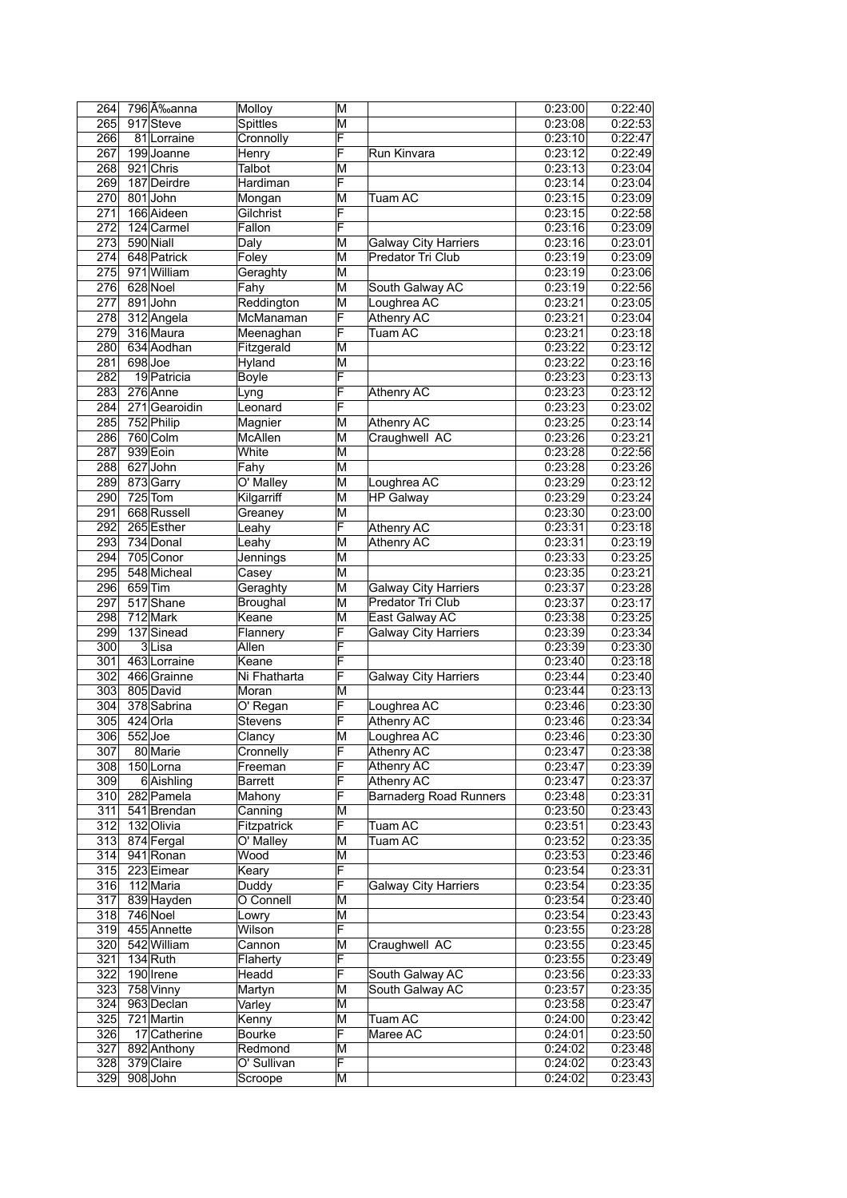| 264              |              | 796 Éanna        | Molloy          | ΙM                      |                               | 0:23:00 | 0:22:40 |
|------------------|--------------|------------------|-----------------|-------------------------|-------------------------------|---------|---------|
| 265              |              | 917 Steve        | <b>Spittles</b> | ΙM                      |                               | 0:23:08 | 0:22:53 |
| 266              |              | 81 Lorraine      | Cronnolly       | F                       |                               | 0:23:10 | 0.22:47 |
| 267              |              | 199Joanne        | Henry           | F                       | Run Kinvara                   | 0:23:12 | 0:22:49 |
| 268              |              | 921 Chris        | Talbot          | М                       |                               | 0:23:13 | 0:23:04 |
| 269              |              | 187 Deirdre      | Hardiman        | F                       |                               | 0:23:14 | 0:23:04 |
| 270              |              | 801 John         | Mongan          | М                       | Tuam AC                       | 0:23:15 | 0.23:09 |
| 271              |              | 166 Aideen       | Gilchrist       | F                       |                               | 0:23:15 | 0:22:58 |
| $\overline{272}$ |              | 124 Carmel       | Fallon          | F                       |                               | 0.23.16 | 0.23.09 |
| $\overline{273}$ |              | 590 Niall        | Daly            | M                       | <b>Galway City Harriers</b>   | 0:23:16 | 0:23:01 |
| 274              |              | 648 Patrick      | Foley           | ΙM                      | Predator Tri Club             | 0:23:19 | 0:23:09 |
| 275              |              | 971 William      | Geraghty        | M                       |                               | 0:23:19 | 0:23:06 |
| 276              |              | 628 Noel         | Fahy            | M                       | South Galway AC               | 0.23.19 | 0:22:56 |
| 277              |              | 891 John         | Reddington      | ΙM                      | Loughrea AC                   | 0:23:21 | 0:23:05 |
| 278              |              | 312 Angela       | McManaman       | F                       | Athenry AC                    | 0.23:21 | 0:23:04 |
| 279              |              | 316 Maura        | Meenaghan       | F                       | Tuam AC                       | 0:23:21 | 0:23:18 |
| 280              |              | 634 Aodhan       | Fitzgerald      | M                       |                               | 0:23:22 | 0:23:12 |
| 281              | $698$ Joe    |                  | Hyland          | ΙM                      |                               | 0:23:22 | 0:23:16 |
| 282              |              | 19 Patricia      | Boyle           | F                       |                               | 0:23:23 | 0.23.13 |
| 283              |              | 276 Anne         |                 | F                       | Athenry AC                    | 0:23:23 | 0:23:12 |
| 284              |              | 271 Gearoidin    | Lyng<br>Leonard | F                       |                               | 0:23:23 | 0:23:02 |
|                  |              |                  |                 |                         |                               |         |         |
| 285              |              | 752 Philip       | Magnier         | M                       | <b>Athenry AC</b>             | 0:23:25 | 0:23:14 |
| 286              |              | 760 Colm         | McAllen         | ΙM                      | Craughwell AC                 | 0:23:26 | 0:23:21 |
| 287              |              | 939 Eoin         | White           | М                       |                               | 0:23:28 | 0:22:56 |
| 288              |              | 627 John         | Fahy            | ΙM                      |                               | 0:23:28 | 0:23:26 |
| 289              |              | 873 Garry        | O' Malley       | ΙM                      | Loughrea AC                   | 0:23:29 | 0:23:12 |
| 290              |              | $725$ Tom        | Kilgarriff      | ΙM                      | <b>HP</b> Galway              | 0:23:29 | 0:23:24 |
| 291              |              | 668 Russell      | Greaney         | M                       |                               | 0:23:30 | 0:23:00 |
| 292              |              | 265 Esther       | Leahy           | F                       | <b>Athenry AC</b>             | 0:23:31 | 0:23:18 |
| 293              |              | 734 Donal        | Leahy           | ΙM                      | Athenry AC                    | 0:23:31 | 0:23:19 |
| 294              |              | 705 Conor        | Jennings        | ΙM                      |                               | 0:23:33 | 0:23:25 |
| 295              |              | 548 Micheal      | Casey           | M                       |                               | 0:23:35 | 0:23:21 |
| 296              | 659 Tim      |                  | Geraghty        | M                       | <b>Galway City Harriers</b>   | 0:23:37 | 0:23:28 |
| 297              |              | 517 Shane        | Broughal        | ΙM                      | <b>Predator Tri Club</b>      | 0:23:37 | 0:23:17 |
| 298              |              | 712 Mark         | Keane           | $\overline{\mathsf{M}}$ | East Galway AC                | 0:23:38 | 0.23.25 |
| 299              |              | 137 Sinead       | Flannery        | F                       | <b>Galway City Harriers</b>   | 0:23:39 | 0:23:34 |
| 300              |              | 3Lisa            | Allen           | F                       |                               | 0:23:39 | 0:23:30 |
| 301              |              | 463 Lorraine     | Keane           | F                       |                               | 0:23:40 | 0.23.18 |
| 302              |              | 466 Grainne      | Ni Fhatharta    | F                       | <b>Galway City Harriers</b>   | 0:23:44 | 0:23:40 |
| 303              |              | 805 David        | Moran           | M                       |                               | 0:23:44 | 0.23.13 |
| 304              |              | 378 Sabrina      | O' Regan        | F                       | Loughrea AC                   | 0:23:46 | 0:23:30 |
| 305              |              | 424 Orla         | Stevens         | F                       | <b>Athenry AC</b>             | 0:23:46 | 0:23:34 |
| 306              | $552$ Joe    |                  | Clancy          | $\overline{\mathsf{M}}$ | Loughrea AC                   | 0:23:46 | 0.23.30 |
| 307              |              | 80 Marie         | Cronnelly       | F                       | <b>Athenry AC</b>             | 0:23:47 | 0:23:38 |
| 308              |              | 150 Lorna        | Freeman         | F                       | Athenry AC                    | 0:23:47 | 0.23.39 |
| 309              |              | 6Aishling        | <b>Barrett</b>  | F                       | Athenry AC                    | 0:23:47 | 0:23:37 |
| 310              |              | 282 Pamela       | Mahony          | F                       | <b>Barnaderg Road Runners</b> | 0:23:48 | 0:23:31 |
| 311              |              | 541 Brendan      | Canning         | М                       |                               | 0:23:50 | 0:23:43 |
|                  |              | 312 132 Olivia   | Fitzpatrick     | F                       | Tuam AC                       | 0:23:51 | 0:23:43 |
| 313              |              | 874 Fergal       | O' Malley       | M                       | Tuam AC                       | 0:23:52 | 0:23:35 |
| 314              |              | 941 Ronan        | Wood            | M                       |                               | 0:23:53 | 0:23:46 |
| 315              |              | 223 Eimear       | Keary           | F                       |                               | 0:23:54 | 0:23:31 |
| 316              |              | 112 Maria        | Duddy           | F                       | <b>Galway City Harriers</b>   | 0:23:54 | 0:23:35 |
| 317              |              | 839 Hayden       | O Connell       | ΙM                      |                               | 0:23:54 | 0:23:40 |
|                  | 318 746 Noel |                  | Lowry           | M                       |                               | 0:23:54 | 0.23.43 |
|                  |              | 319 455 Annette  | Wilson          | $\overline{\mathsf{F}}$ |                               | 0:23:55 | 0:23:28 |
|                  |              | 320 542 William  | Cannon          | M                       | Craughwell AC                 | 0:23:55 | 0:23:45 |
|                  | 321 134 Ruth |                  | Flaherty        | F                       |                               | 0:23:55 | 0:23:49 |
| 322              |              | 190 Irene        | Headd           | F                       | South Galway AC               | 0:23:56 | 0:23:33 |
| 323              |              | 758 Vinny        | Martyn          | M                       | South Galway AC               | 0:23:57 |         |
| 324              |              | 963 Declan       |                 | M                       |                               |         | 0.23.35 |
|                  |              |                  | Varley          |                         |                               | 0:23:58 | 0:23:47 |
|                  |              | 325 721 Martin   | Kenny           | ΙM                      | Tuam AC                       | 0:24:00 | 0:23:42 |
|                  |              | 326 17 Catherine | Bourke          | F                       | Maree AC                      | 0:24:01 | 0.23:50 |
| 327              |              | 892 Anthony      | Redmond         | ΙM                      |                               | 0:24:02 | 0:23:48 |
|                  |              | 328 379 Claire   | O' Sullivan     | F                       |                               | 0:24:02 | 0:23:43 |
| 329              |              | 908 John         | Scroope         | M                       |                               | 0:24:02 | 0.23.43 |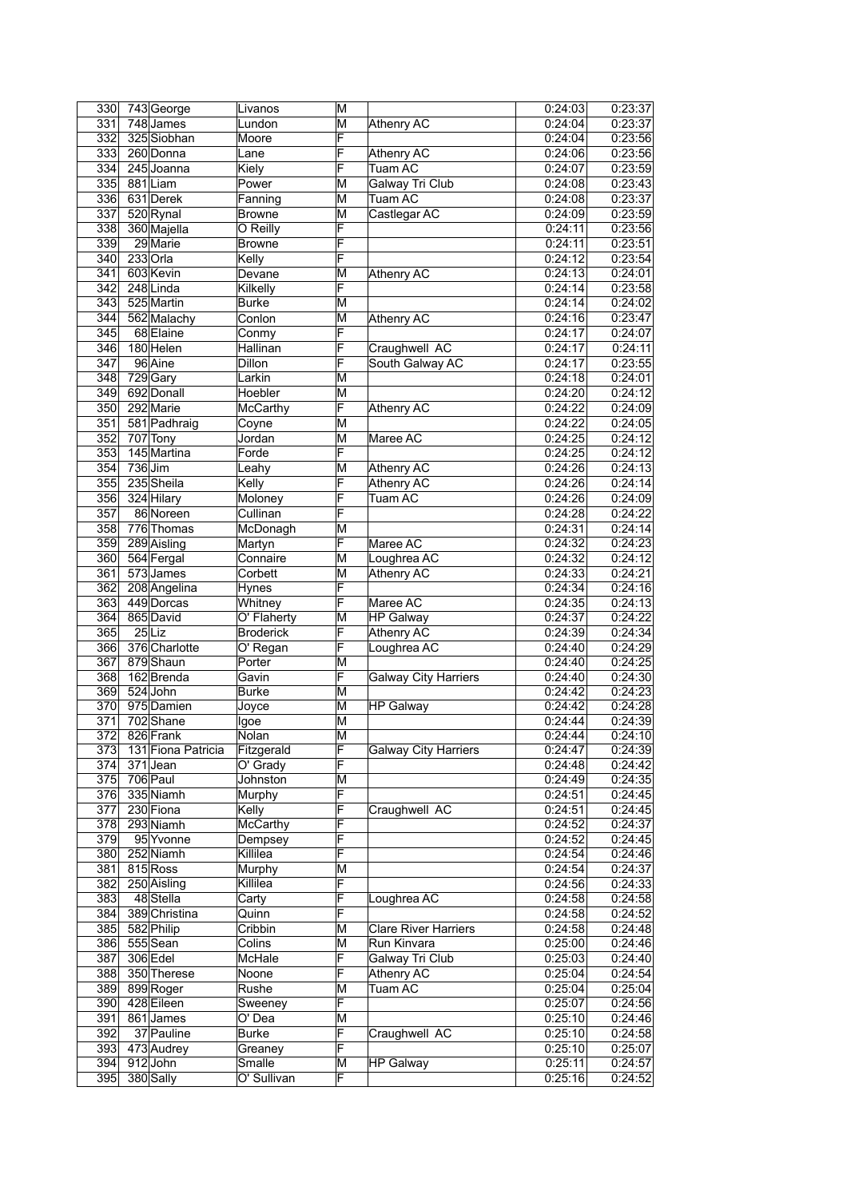|                  | 330 743 George        | Livanos                      | M                       |                             | 0:24:03              | 0:23:37            |
|------------------|-----------------------|------------------------------|-------------------------|-----------------------------|----------------------|--------------------|
| 331              | 748 James             | Lundon                       | M                       | Athenry AC                  | 0:24:04              | 0:23:37            |
| 332              | 325 Siobhan           | Moore                        | F                       |                             | 0:24:04              | 0.23:56            |
| 333              | 260 Donna             | Lane                         | $\overline{\mathsf{F}}$ | <b>Athenry AC</b>           | 0:24:06              | 0:23:56            |
| 334              | 245 Joanna            | Kiely                        | F                       | Tuam AC                     | 0:24:07              | 0.23.59            |
| 335              | 881Liam               | Power                        | M                       | Galway Tri Club             | 0:24:08              | 0:23:43            |
| 336              | 631 Derek             | Fanning                      | M                       | Tuam AC                     | 0:24:08              | 0:23:37            |
| 337              | 520 Rynal             | <b>Browne</b>                | M                       | Castlegar AC                | 0:24:09              | 0:23:59            |
| 338              | 360 Majella           | $\overline{O}$ Reilly        | F                       |                             | 0.24:11              | 0:23:56            |
| 339              | 29 Marie              | <b>Browne</b>                | F                       |                             | 0.24.11              | 0:23:51            |
| 340              | $233$ Orla            | Kelly                        | F                       |                             | 0:24:12              | 0:23:54            |
| 341              | 603 Kevin             | Devane                       | M                       | Athenry AC                  | 0:24:13              | 0:24:01            |
| 342              | 248 Linda             | Kilkelly                     | F                       |                             | 0:24:14              | 0:23:58            |
| 343              | 525 Martin            | Burke                        | $\overline{\mathsf{M}}$ |                             | 0:24:14              | 0.24.02            |
| 344              | 562 Malachy           | Conlon                       | M                       | Athenry AC                  | 0:24:16              | 0:23:47            |
| 345              | 68 Elaine             | Conmy                        | F                       |                             | 0:24:17              | 0:24:07            |
| 346              | 180 Helen             | Hallinan                     | F                       | Craughwell AC               | 0:24:17              | 0.24.11            |
| 347              | 96 Aine               | Dillon                       | F                       | South Galway AC             | 0:24:17              | 0:23:55            |
| 348              | 729 Gary              | Larkin                       | M                       |                             | 0:24:18              | 0:24:01            |
| 349              | 692 Donall            | Hoebler                      | M                       |                             | 0:24:20              | 0:24:12            |
| 350              | 292 Marie             | <b>McCarthy</b>              | F                       | Athenry AC                  | 0:24:22              | 0:24:09            |
| 351              | 581 Padhraig          | Coyne                        | M                       |                             | 0:24:22              | 0.24.05            |
| 352              | $\overline{707}$ Tony | Jordan                       | ΙM                      | Maree AC                    | 0:24:25              | 0:24:12            |
| 353              | 145 Martina           | Forde                        | F                       |                             | 0:24:25              | 0:24:12            |
| 354              | $736$ Jim             | Leahy                        | M                       | Athenry AC                  | 0:24:26              | 0:24:13            |
| 355              | 235 Sheila            | Kelly                        | F                       | <b>Athenry AC</b>           | 0:24:26              | 0:24:14            |
| 356              | 324 Hilary            | Moloney                      | F                       | Tuam AC                     | 0:24:26              | 0:24:09            |
| 357              | 86 Noreen             | Cullinan                     | F                       |                             | 0:24:28              | 0:24:22            |
| 358              | 776 Thomas            | McDonagh                     | M                       |                             | 0:24:31              | 0:24:14            |
| 359              | 289 Aisling           | Martyn                       | F                       | Maree AC                    | 0:24:32              | 0:24:23            |
| 360              | 564 Fergal            | Connaire                     | M                       | Loughrea AC                 | 0:24:32              | 0:24:12            |
| 361              | 573James              | Corbett                      | M                       | Athenry AC                  | $\overline{0.24:33}$ | 0:24:21            |
| 362              | 208 Angelina          | Hynes                        | F                       |                             | 0:24:34              | 0:24:16            |
| 363              | 449 Dorcas            | Whitney                      | F                       | Maree AC                    | 0:24:35              | 0:24:13            |
| 364              | 865 David             | O' Flaherty                  | M                       | <b>HP Galway</b>            | 0:24:37              | 0:24:22            |
| 365              | $25$ Liz              | <b>Broderick</b>             | F                       | <b>Athenry AC</b>           | 0:24:39              | 0:24:34            |
| 366              | 376 Charlotte         | O' Regan                     | F                       | Loughrea AC                 | 0:24:40              | 0:24:29            |
| 367              | 879 Shaun             | Porter                       | ΙM                      |                             | 0:24:40              | 0.24.25            |
| 368              | 162Brenda             | Gavin                        | F                       | <b>Galway City Harriers</b> | 0:24:40              | 0:24:30            |
| 369              | 524 John              | Burke                        | M                       |                             | 0:24:42              | 0:24:23            |
| 370              | 975 Damien            | Joyce                        | M                       | <b>HP Galway</b>            | 0:24:42              | 0.24.28            |
| 371              | 702Shane              | Igoe                         | M                       |                             | 0:24:44              | 0:24:39            |
| 372              | 826 Frank             | Nolan                        | M                       |                             | 0:24:44              | 0.24:10            |
| $\overline{373}$ | 131 Fiona Patricia    | Fitzgerald                   | F                       | <b>Galway City Harriers</b> | 0:24:47              | 0.24.39            |
| 374              | 371Jean               | O' Grady                     | F                       |                             | 0:24:48              | 0.24.42            |
| 375              | 706 Paul              | Johnston                     | M                       |                             | 0:24:49              | 0:24:35            |
| 376              | 335 Niamh             | Murphy                       | F                       |                             | 0:24:51              | 0:24:45            |
| 377              | 230 Fiona             | Kelly                        | F                       | Craughwell AC               | 0:24:51              | 0:24:45            |
| 378              | 293 Niamh             | <b>McCarthy</b>              | F                       |                             | 0:24:52              | 0:24:37            |
| 379              | 95 Yvonne             | Dempsey                      | F                       |                             | 0:24:52              | 0:24:45            |
| 380              | 252 Niamh             | Killilea                     | F                       |                             | 0:24:54              | 0:24:46            |
| 381              | 815 Ross              | Murphy                       | M                       |                             | 0:24:54              | 0:24:37            |
| 382              | 250 Aisling           | Killilea                     | F                       |                             | 0:24:56              | 0:24:33            |
| 383              | 48 Stella             | $\overline{\mathrm{C}}$ arty | F                       | Loughrea AC                 | 0:24:58              | 0:24:58            |
| 384              | 389 Christina         | Quinn                        | F                       |                             | 0:24:58              | 0:24:52            |
| 385              | 582 Philip            | Cribbin                      | M                       | <b>Clare River Harriers</b> | 0:24:58              | 0:24:48            |
| 386              | 555 Sean              | Colins                       | M                       | Run Kinvara                 | 0:25:00              | 0:24:46            |
| 387              | $306$ Edel            | McHale                       | F                       | Galway Tri Club             | 0:25:03              | 0:24:40            |
| 388              | 350 Therese           | Noone                        | F                       | Athenry AC                  | 0:25:04              | 0:24:54            |
| 389              | 899 Roger             | Rushe                        | M                       | Tuam AC                     | 0:25:04              | 0:25:04            |
| 390              | 428 Eileen            | Sweeney                      | F                       |                             | 0:25:07              | 0:24:56            |
| 391              | 861 James             | O' Dea                       | M                       |                             | $\overline{0.25:10}$ | 0:24:46            |
|                  |                       |                              |                         |                             |                      |                    |
| 392              | 37 Pauline            | Burke                        | F                       | Craughwell AC               | 0:25:10              | 0:24:58            |
| 393              | 473 Audrey            | Greaney                      | F                       |                             | 0:25:10              | 0:25:07            |
| 394<br>395       | 912John<br>380 Sally  | Smalle<br>O' Sullivan        | ΙM<br>F                 | <b>HP Galway</b>            | 0:25:11<br>0:25:16   | 0:24:57<br>0:24:52 |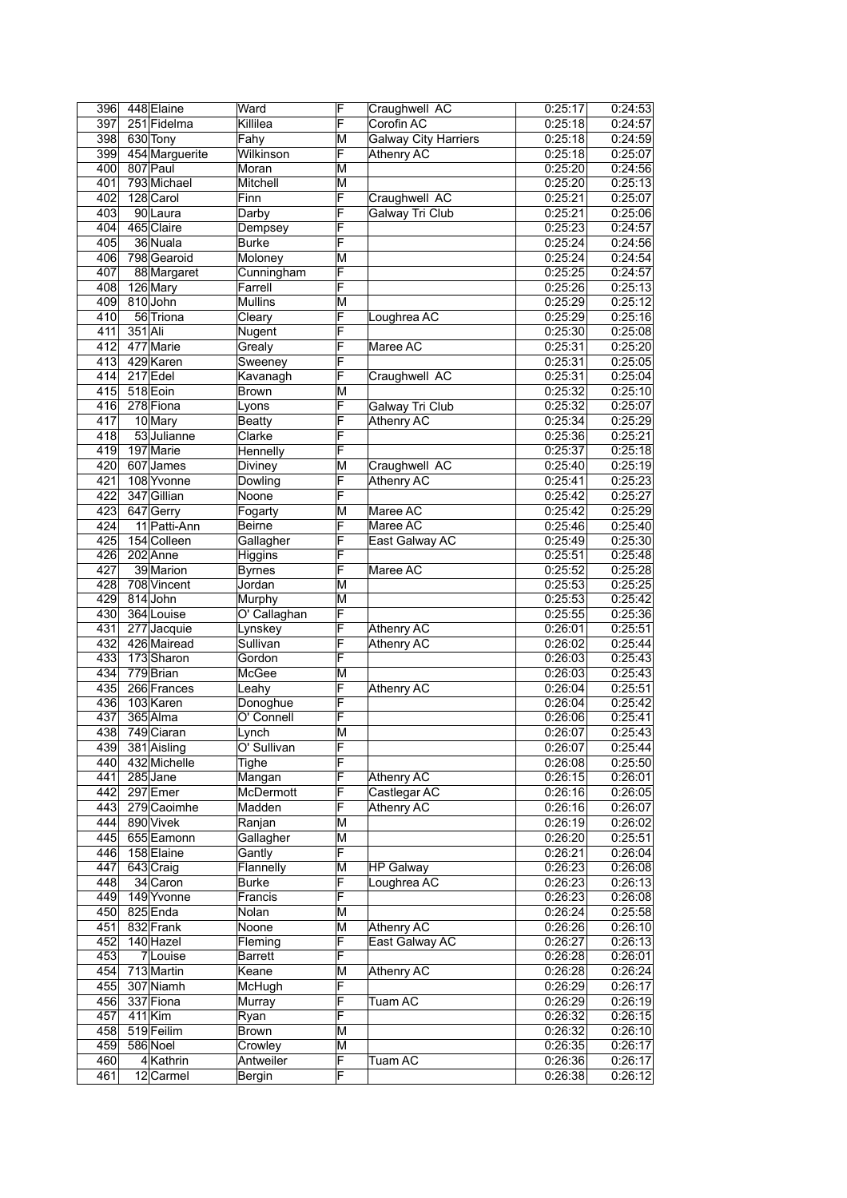| 396 |           | 448 Elaine             | Ward             | F                            | Craughwell AC          | 0:25:17 | 0.24.53 |
|-----|-----------|------------------------|------------------|------------------------------|------------------------|---------|---------|
| 397 |           | 251 Fidelma            | Killilea         | F                            | Corofin AC             | 0:25:18 | 0:24:57 |
| 398 |           | 630 Tony               | Fahy             | M                            | Galway City Harriers   | 0:25:18 | 0.24:59 |
| 399 |           | 454 Marguerite         | Wilkinson        | F                            | Athenry AC             | 0:25:18 | 0:25:07 |
| 400 |           | 807 Paul               | Moran            | M                            |                        | 0.25:20 | 0.24.56 |
| 401 |           | 793 Michael            | Mitchell         | M                            |                        | 0.25.20 | 0.25.13 |
| 402 |           | 128 Carol              | Finn             | F                            | Craughwell AC          | 0:25:21 | 0:25:07 |
| 403 |           | 90 Laura               | Darby            | F                            | <b>Galway Tri Club</b> | 0:25:21 | 0:25:06 |
| 404 |           | 465 Claire             | Dempsey          | F                            |                        | 0.25.23 | 0:24:57 |
| 405 |           | 36 Nuala               | <b>Burke</b>     | F                            |                        | 0:25:24 | 0:24:56 |
| 406 |           | 798 Gearoid            | Moloney          | M                            |                        | 0:25:24 | 0:24:54 |
| 407 |           | 88 Margaret            | Cunningham       | F                            |                        | 0:25:25 | 0:24:57 |
| 408 |           | 126 Mary               | Farrell          | F                            |                        | 0:25:26 | 0.25.13 |
| 409 |           | 810 John               | <b>Mullins</b>   | M                            |                        | 0:25:29 | 0:25:12 |
| 410 |           | 56 Triona              | Cleary           | F                            | Loughrea AC            | 0:25:29 | 0:25:16 |
| 411 | $351$ Ali |                        | Nugent           | F                            |                        | 0:25:30 | 0:25:08 |
| 412 |           | 477 Marie              | Grealy           | F                            | Maree AC               | 0:25:31 | 0:25:20 |
| 413 |           | 429 Karen              | Sweeney          | F                            |                        | 0:25:31 | 0:25:05 |
| 414 |           | $217$ Edel             | Kavanagh         | F                            | Craughwell AC          | 0:25:31 | 0:25:04 |
| 415 |           | 518 Eoin               | Brown            | M                            |                        | 0.25.32 | 0:25:10 |
| 416 |           | 278 Fiona              |                  | F                            | Galway Tri Club        | 0:25:32 | 0:25:07 |
| 417 |           |                        | Lyons            | F                            | Athenry AC             | 0:25:34 | 0:25:29 |
| 418 |           | 10 Mary<br>53 Julianne | Beatty<br>Clarke | F                            |                        | 0:25:36 | 0:25:21 |
|     |           |                        |                  | F                            |                        |         |         |
| 419 |           | 197 Marie              | Hennelly         |                              |                        | 0:25:37 | 0.25:18 |
| 420 |           | 607 James              | Diviney          | M                            | Craughwell AC          | 0:25:40 | 0:25:19 |
| 421 |           | 108 Yvonne             | Dowling          | F                            | Athenry AC             | 0:25:41 | 0:25:23 |
| 422 |           | 347 Gillian            | Noone            | F                            |                        | 0:25:42 | 0:25:27 |
| 423 |           | 647 Gerry              | Fogarty          | M                            | Maree AC               | 0.25.42 | 0:25:29 |
| 424 |           | 11 Patti-Ann           | <b>Beirne</b>    | F                            | Maree AC               | 0:25:46 | 0:25:40 |
| 425 |           | 154 Colleen            | Gallagher        | F                            | East Galway AC         | 0.25.49 | 0:25:30 |
| 426 |           | 202 Anne               | Higgins          | F                            |                        | 0:25:51 | 0:25:48 |
| 427 |           | 39 Marion              | <b>Byrnes</b>    | F                            | Maree AC               | 0:25:52 | 0:25:28 |
| 428 |           | 708 Vincent            | Jordan           | M                            |                        | 0:25:53 | 0.25.25 |
| 429 |           | 814 John               | Murphy           | M                            |                        | 0.25.53 | 0:25:42 |
| 430 |           | 364 Louise             | O' Callaghan     | F                            |                        | 0:25:55 | 0:25:36 |
| 431 |           | 277 Jacquie            | Lynskey          | F                            | <b>Athenry AC</b>      | 0:26:01 | 0:25:51 |
| 432 |           | 426 Mairead            | Sullivan         | F                            | Athenry AC             | 0:26:02 | 0.25.44 |
| 433 |           | 173 Sharon             | Gordon           | F                            |                        | 0:26:03 | 0:25:43 |
| 434 |           | 779 Brian              | McGee            | M                            |                        | 0:26:03 | 0:25:43 |
| 435 |           | 266 Frances            | Leahy            | F                            | Athenry AC             | 0:26:04 | 0:25:51 |
| 436 |           | 103 Karen              | Donoghue         | F                            |                        | 0:26:04 | 0:25:42 |
| 437 |           | 365 Alma               | O' Connell       | F                            |                        | 0:26:06 | 0.25.41 |
| 438 |           | 749 Ciaran             | Lynch            | $\overline{\mathsf{M}}$      |                        | 0:26:07 | 0:25:43 |
| 439 |           | 381 Aisling            | O' Sullivan      | F                            |                        | 0:26:07 | 0:25:44 |
| 440 |           | 432 Michelle           | Tighe            | F                            |                        | 0:26:08 | 0:25:50 |
| 441 |           | 285 Jane               | Mangan           | F                            | Athenry AC             | 0:26:15 | 0:26:01 |
| 442 |           | 297 Emer               | McDermott        | F                            | Castlegar AC           | 0.26.16 | 0:26:05 |
| 443 |           | 279 Caoimhe            | Madden           | $\overline{\mathsf{F}}$      | Athenry AC             | 0:26:16 | 0:26:07 |
| 444 |           | 890 Vivek              | Ranjan           | M                            |                        | 0.26.19 | 0:26:02 |
| 445 |           | 655 Eamonn             | Gallagher        | М                            |                        | 0:26:20 | 0:25:51 |
| 446 |           | 158 Elaine             | Gantly           | F                            |                        | 0:26:21 | 0:26:04 |
| 447 |           | 643 Craig              | Flannelly        | M                            | <b>HP Galway</b>       | 0:26:23 | 0:26:08 |
| 448 |           | $34$ Caron             | <b>Burke</b>     | F                            | Loughrea AC            | 0.26:23 | 0.26.13 |
| 449 |           | 149 Yvonne             | Francis          | F                            |                        | 0:26:23 | 0:26:08 |
| 450 |           | 825 Enda               | Nolan            | M                            |                        | 0:26:24 | 0:25:58 |
| 451 |           | 832 Frank              | Noone            | M                            | <b>Athenry AC</b>      | 0:26:26 | 0:26:10 |
| 452 |           | 140 Hazel              | Fleming          | F                            | East Galway AC         | 0:26:27 | 0:26:13 |
| 453 |           | 7Louise                | Barrett          | F                            |                        | 0:26:28 | 0:26:01 |
|     |           |                        |                  |                              |                        |         |         |
| 454 |           | 713 Martin             | Keane            | M<br>$\overline{\mathsf{F}}$ | Athenry AC             | 0:26:28 | 0:26:24 |
| 455 |           | 307 Niamh              | McHugh           |                              |                        | 0:26:29 | 0:26:17 |
| 456 |           | 337 Fiona              | Murray           | F                            | Tuam AC                | 0.26:29 | 0:26:19 |
| 457 |           | $411$ Kim              | Ryan             | F                            |                        | 0:26:32 | 0:26:15 |
| 458 |           | 519 Feilim             | Brown            | M                            |                        | 0:26:32 | 0:26:10 |
| 459 |           | 586 Noel               | Crowley          | M                            |                        | 0:26:35 | 0:26:17 |
| 460 |           | 4Kathrin               | Antweiler        | F                            | Tuam AC                | 0:26:36 | 0:26:17 |
| 461 |           | 12 Carmel              | Bergin           | F                            |                        | 0:26:38 | 0:26:12 |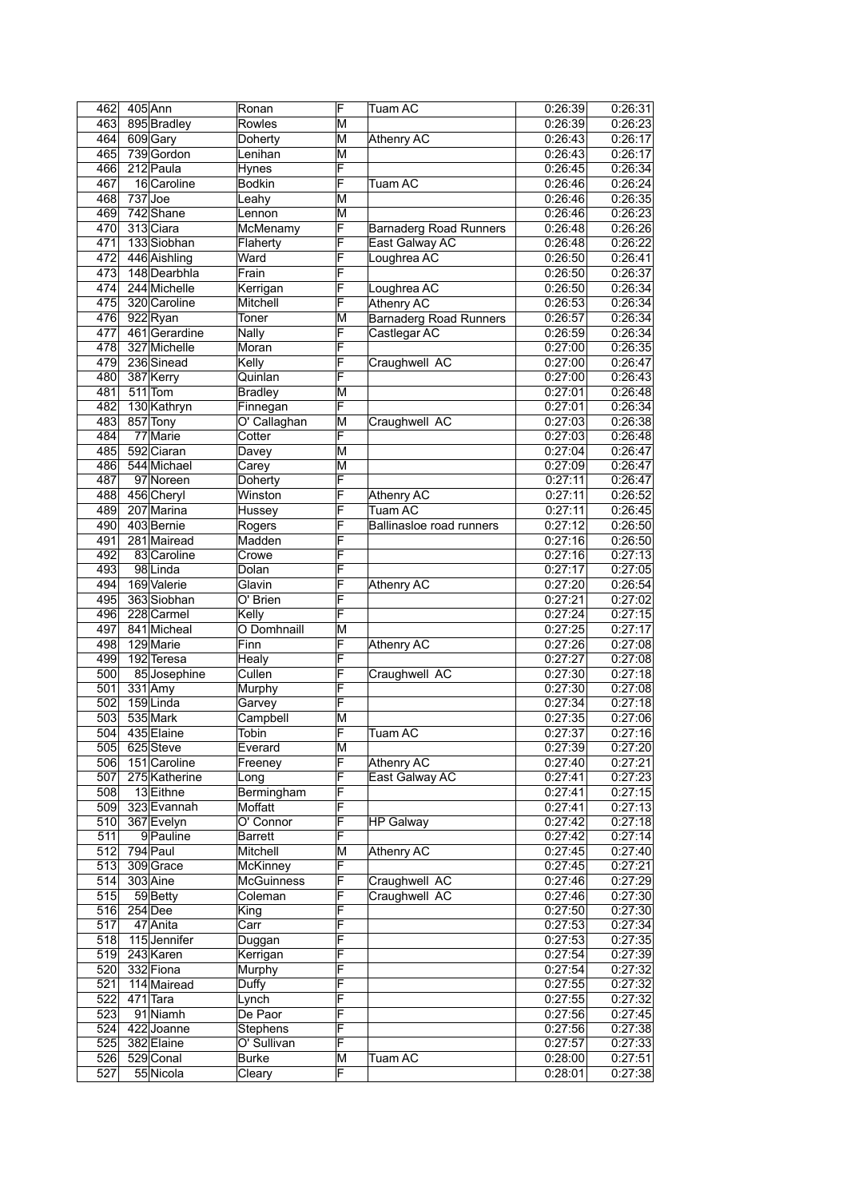| 462              | 405 Ann       | Ronan             | F                       | Tuam AC                         | 0:26:39 | 0:26:31 |
|------------------|---------------|-------------------|-------------------------|---------------------------------|---------|---------|
| 463              | 895 Bradley   | Rowles            | M                       |                                 | 0:26:39 | 0:26:23 |
| 464              | 609 Gary      | Doherty           | M                       | <b>Athenry AC</b>               | 0:26:43 | 0:26:17 |
| 465              | 739 Gordon    | Lenihan           | М                       |                                 | 0.26:43 | 0:26:17 |
| 466              | 212 Paula     | <b>Hynes</b>      | F                       |                                 | 0:26:45 | 0.26.34 |
| 467              | 16 Caroline   | <b>Bodkin</b>     | F                       | Tuam AC                         | 0:26:46 | 0:26:24 |
| 468              | $737$ Joe     | Leahy             | M                       |                                 | 0:26:46 | 0:26:35 |
| 469              | 742 Shane     | Lennon            | М                       |                                 | 0:26:46 | 0:26:23 |
| 470              | 313 Ciara     | McMenamy          | F                       | <b>Barnaderg Road Runners</b>   | 0:26:48 | 0.26.26 |
| 471              | 133 Siobhan   | Flaherty          | F                       | East Galway AC                  | 0:26:48 | 0:26:22 |
| 472              | 446 Aishling  | Ward              | F                       | Loughrea AC                     | 0:26:50 | 0:26:41 |
| 473              | 148 Dearbhla  | Frain             | F                       |                                 | 0:26:50 | 0:26:37 |
| 474              | 244 Michelle  | Kerrigan          | F                       | Loughrea AC                     | 0:26:50 | 0:26:34 |
| 475              | 320 Caroline  | Mitchell          | F                       | Athenry AC                      | 0:26:53 | 0:26:34 |
| 476              | 922Ryan       | Toner             | M                       | <b>Barnaderg Road Runners</b>   | 0.26.57 | 0:26:34 |
| 477              | 461 Gerardine | Nally             | F                       | Castlegar AC                    | 0:26:59 | 0:26:34 |
| 478              | 327 Michelle  | Moran             | F                       |                                 | 0:27:00 | 0:26:35 |
| 479              | 236 Sinead    | Kelly             | F                       | Craughwell AC                   | 0.27:00 | 0:26:47 |
|                  |               |                   |                         |                                 |         |         |
| 480              | 387 Kerry     | Quinlan           | F                       |                                 | 0:27:00 | 0.26.43 |
| 481              | 511 Tom       | <b>Bradley</b>    | M<br>F                  |                                 | 0:27:01 | 0.26.48 |
| 482              | 130 Kathryn   | Finnegan          |                         |                                 | 0:27:01 | 0.26.34 |
| 483              | 857 Tony      | O' Callaghan      | M                       | Craughwell AC                   | 0:27:03 | 0:26:38 |
| 484              | 77 Marie      | Cotter            | F                       |                                 | 0:27:03 | 0.26.48 |
| 485              | 592 Ciaran    | Davey             | M                       |                                 | 0:27:04 | 0:26:47 |
| 486              | 544 Michael   | Carey             | M                       |                                 | 0:27:09 | 0:26:47 |
| 487              | 97 Noreen     | Doherty           | F                       |                                 | 0.27:11 | 0:26:47 |
| 488              | 456 Cheryl    | Winston           | F                       | <b>Athenry AC</b>               | 0.27:11 | 0:26:52 |
| 489              | 207 Marina    | Hussey            | F                       | Tuam AC                         | 0:27:11 | 0:26:45 |
| 490              | 403 Bernie    | Rogers            | F                       | <b>Ballinasloe road runners</b> | 0:27:12 | 0.26.50 |
| 491              | 281 Mairead   | Madden            | F                       |                                 | 0:27:16 | 0:26:50 |
| 492              | 83 Caroline   | Crowe             | F                       |                                 | 0.27:16 | 0:27:13 |
| 493              | 98 Linda      | Dolan             | F                       |                                 | 0:27:17 | 0:27:05 |
| 494              | 169 Valerie   | Glavin            | F                       | <b>Athenry AC</b>               | 0:27:20 | 0:26:54 |
| 495              | 363 Siobhan   | O' Brien          | F                       |                                 | 0.27:21 | 0:27:02 |
| 496              | 228 Carmel    | Kelly             | F                       |                                 | 0:27:24 | 0:27:15 |
| 497              | 841 Micheal   | O Domhnaill       | M                       |                                 | 0:27:25 | 0:27:17 |
| 498              | 129 Marie     | Finn              | F                       | Athenry AC                      | 0:27:26 | 0.27:08 |
| 499              | 192 Teresa    | Healy             | F                       |                                 | 0:27:27 | 0.27:08 |
| 500              | 85 Josephine  | Cullen            | F                       | Craughwell AC                   | 0:27:30 | 0:27:18 |
| 501              | 331 Amy       | Murphy            | F                       |                                 | 0:27:30 | 0.27:08 |
| 502              | 159Linda      | Garvey            | $\overline{\mathsf{F}}$ |                                 | 0:27:34 | 0:27:18 |
| 503              | 535 Mark      | Campbell          | M                       |                                 | 0:27:35 | 0:27:06 |
| 504              | 435 Elaine    | Tobin             | $\overline{\mathsf{F}}$ | Tuam AC                         | 0:27:37 | 0:27:16 |
| 505              | 625 Steve     | Everard           | М                       |                                 | 0:27:39 | 0:27:20 |
| 506              | 151 Caroline  | Freeney           | F                       | <b>Athenry AC</b>               | 0:27:40 | 0:27:21 |
| 507              | 275 Katherine | Long              | F                       | East Galway AC                  | 0:27:41 | 0:27:23 |
| 508              | 13 Eithne     | Bermingham        | F                       |                                 | 0:27:41 | 0:27:15 |
| 509              | 323 Evannah   | Moffatt           | F                       |                                 | 0:27:41 | 0:27:13 |
| 510              | 367 Evelyn    | O' Connor         | F                       | <b>HP Galway</b>                | 0:27:42 | 0.27:18 |
| 511              | 9 Pauline     | <b>Barrett</b>    | F                       |                                 | 0:27:42 | 0.27.14 |
| 512              | $794$ Paul    | Mitchell          | $\overline{\mathsf{M}}$ | Athenry AC                      | 0:27:45 | 0:27:40 |
| $\overline{513}$ | 309 Grace     | <b>McKinney</b>   | F                       |                                 | 0:27:45 | 0:27:21 |
| 514              | 303 Aine      | <b>McGuinness</b> | F                       | Craughwell AC                   | 0.27:46 | 0:27:29 |
| 515              | 59Betty       | Coleman           | F                       | Craughwell AC                   | 0:27:46 | 0.27:30 |
| 516              | $254$ Dee     | <b>King</b>       | F                       |                                 | 0.27:50 | 0:27:30 |
| $\overline{517}$ | 47 Anita      | Carr              | F                       |                                 | 0.27:53 | 0:27:34 |
|                  |               |                   | F                       |                                 |         |         |
| 518              | 115 Jennifer  | Duggan            | F                       |                                 | 0:27:53 | 0:27:35 |
| 519              | 243 Karen     | Kerrigan          |                         |                                 | 0:27:54 | 0:27:39 |
| 520              | 332 Fiona     | Murphy            | $\overline{\mathsf{F}}$ |                                 | 0:27:54 | 0.27.32 |
| 521              | 114 Mairead   | <b>Duffy</b>      | $\overline{\mathsf{F}}$ |                                 | 0:27:55 | 0:27:32 |
| 522              | 471 Tara      | Lynch             | F                       |                                 | 0:27:55 | 0:27:32 |
| 523              | 91 Niamh      | De Paor           | F                       |                                 | 0:27:56 | 0:27:45 |
| 524              | 422 Joanne    | Stephens          | F                       |                                 | 0.27:56 | 0.27.38 |
| 525              | 382 Elaine    | O' Sullivan       | F                       |                                 | 0:27:57 | 0.27.33 |
| 526              | 529 Conal     | <b>Burke</b>      | М                       | Tuam AC                         | 0:28:00 | 0.27:51 |
| 527              | 55 Nicola     | Cleary            | F                       |                                 | 0:28:01 | 0:27:38 |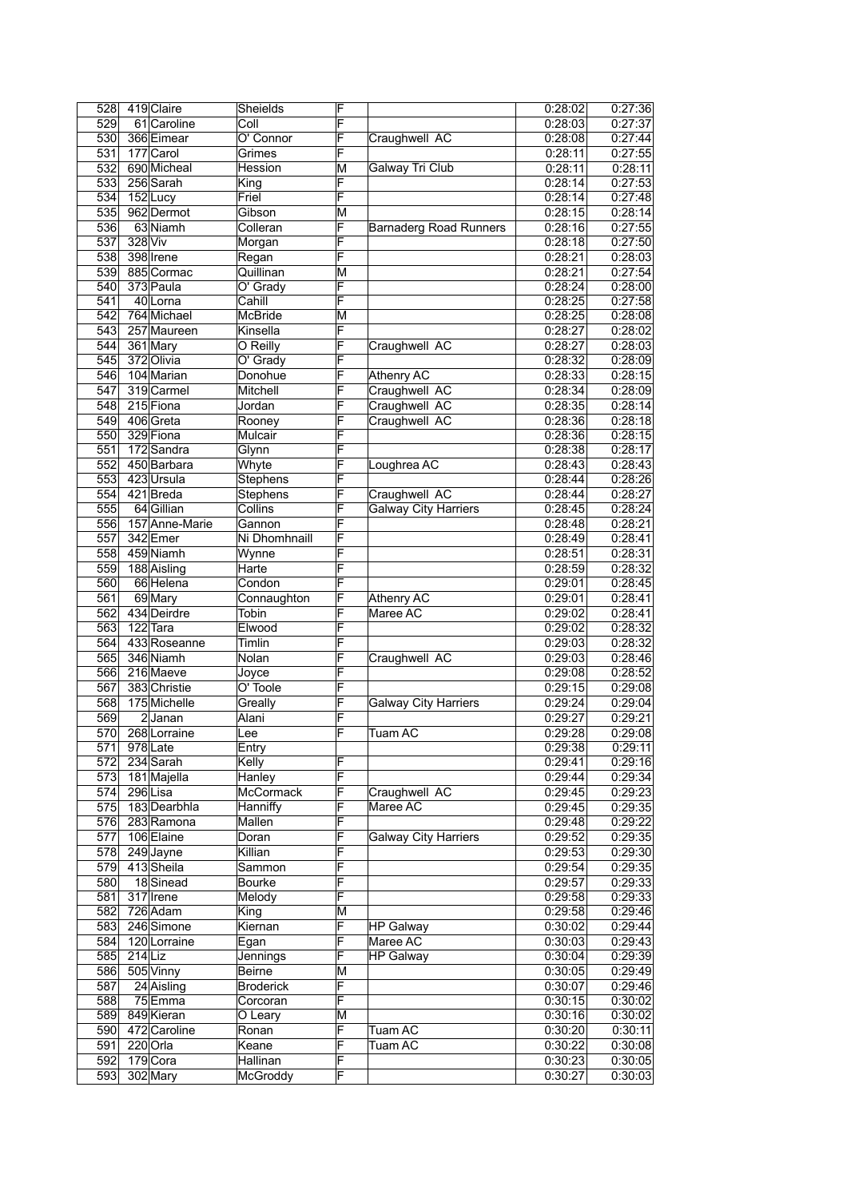| 528              |            | 419 Claire           | Sheields         | F                       |                             | 0:28:02 | 0:27:36            |
|------------------|------------|----------------------|------------------|-------------------------|-----------------------------|---------|--------------------|
| 529              |            | 61 Caroline          | Coll             | F                       |                             | 0:28:03 | 0:27:37            |
| 530              |            | 366 Eimear           | O' Connor        | F                       | Craughwell AC               | 0:28:08 | 0.27.44            |
| 531              |            | 177 Carol            | Grimes           | F                       |                             | 0.28.11 | 0.27:55            |
| 532              |            | 690 Micheal          | Hession          | M                       | <b>Galway Tri Club</b>      | 0.28.11 | 0.28:11            |
| 533              |            | 256 Sarah            | King             | F                       |                             | 0:28:14 | 0:27:53            |
| 534              |            | 152Lucy              | Friel            | F                       |                             | 0:28:14 | 0.27.48            |
| 535              |            | 962 Dermot           | Gibson           | M                       |                             | 0:28:15 | 0:28:14            |
| 536              |            | 63 Niamh             | Colleran         | F                       | Barnaderg Road Runners      | 0:28:16 | 0:27:55            |
| 537              | 328 Viv    |                      | Morgan           | F                       |                             | 0:28:18 | 0.27:50            |
| 538              |            | 398 Irene            | Regan            | F                       |                             | 0:28:21 | 0:28:03            |
| 539              |            | 885 Cormac           | Quillinan        | M                       |                             | 0:28:21 | 0.27.54            |
| 540              |            | 373 Paula            | O' Grady         | F                       |                             | 0.28.24 | 0.28:00            |
| 541              |            | 40 Lorna             | Cahill           | F                       |                             | 0:28:25 | 0.27:58            |
| 542              |            | 764 Michael          | <b>McBride</b>   | M                       |                             | 0:28:25 | 0.28.08            |
| 543              |            | 257 Maureen          | Kinsella         | F                       |                             | 0:28:27 | 0:28:02            |
| $\overline{544}$ |            | 361 Mary             | O Reilly         | F                       | Craughwell AC               | 0:28:27 | 0:28:03            |
| 545              |            | 372 Olivia           | O' Grady         | F                       |                             | 0:28:32 | 0:28:09            |
| 546              |            | 104 Marian           | Donohue          | F                       | <b>Athenry AC</b>           | 0:28:33 | 0:28:15            |
| $\overline{547}$ |            | 319 Carmel           | Mitchell         | F                       | Craughwell AC               | 0:28:34 | 0:28:09            |
| 548              |            | 215 Fiona            | Jordan           | F                       |                             |         | 0:28:14            |
|                  |            |                      |                  |                         | Craughwell AC               | 0:28:35 |                    |
| 549              |            | 406 Greta            | Rooney           | F                       | Craughwell AC               | 0:28:36 | 0.28.18            |
| 550              |            | 329 Fiona            | Mulcair          | F                       |                             | 0.28.36 | 0.28.15            |
| 551              |            | 172 Sandra           | Glynn            | F                       |                             | 0:28:38 | 0:28:17            |
| 552              |            | 450 Barbara          | Whyte            | F                       | Loughrea AC                 | 0:28:43 | 0:28:43            |
| 553              |            | 423 Ursula           | Stephens         | F                       |                             | 0:28:44 | 0:28:26            |
| 554              |            | 421 Breda            | Stephens         | $\overline{\mathsf{F}}$ | Craughwell AC               | 0:28:44 | 0:28:27            |
| 555              |            | 64 Gillian           | Collins          | F                       | <b>Galway City Harriers</b> | 0.28.45 | 0.28.24            |
| 556              |            | 157 Anne-Marie       | Gannon           | F                       |                             | 0.28:48 | 0:28:21            |
| 557              |            | 342 Emer             | Ni Dhomhnaill    | F                       |                             | 0:28:49 | 0:28:41            |
| 558              |            | 459 Niamh            | Wynne            | $\overline{\mathsf{F}}$ |                             | 0:28:51 | 0:28:31            |
| 559              |            | 188 Aisling          | Harte            | F                       |                             | 0:28:59 | 0:28:32            |
| 560              |            | 66 Helena            | Condon           | F                       |                             | 0:29:01 | 0:28:45            |
| 561              |            | 69 Mary              | Connaughton      | F                       | <b>Athenry AC</b>           | 0:29:01 | 0:28:41            |
| 562              |            | 434 Deirdre          | Tobin            | F                       | Maree AC                    | 0.29:02 | 0:28:41            |
| 563              | 122 Tara   |                      | Elwood           | F                       |                             | 0:29:02 | 0.28.32            |
| 564              |            | 433 Roseanne         | Timlin           | F                       |                             | 0:29:03 | 0:28:32            |
| 565              |            | 346 Niamh            | Nolan            | F                       | Craughwell AC               | 0:29:03 | 0.28:46            |
| 566              |            | 216 Maeve            | Joyce            | F                       |                             | 0:29:08 | 0.28.52            |
| 567              |            | 383 Christie         | O' Toole         | F                       |                             | 0:29:15 | 0.29.08            |
| 568              |            | 175 Michelle         | Greally          | F                       | <b>Galway City Harriers</b> | 0:29:24 | 0:29:04            |
| 569              |            | $\overline{2}$ Janan | Alani            | F                       |                             | 0:29:27 | 0:29:21            |
| 570              |            | 268 Lorraine         | Lee              | $\overline{\mathsf{F}}$ | <b>Tuam AC</b>              | 0:29:28 | 0:29:08            |
| 571              | 978Late    |                      | Entry            |                         |                             | 0:29:38 | 0.29.11            |
| 572              |            | 234 Sarah            | Kelly            | F                       |                             | 0:29:41 | 0.29.16            |
|                  |            | 181 Majella          | Hanley           | F                       |                             |         |                    |
| 573<br>574       | 296Lisa    |                      | <b>McCormack</b> | F                       |                             | 0:29:44 | 0:29:34<br>0:29:23 |
|                  |            |                      |                  |                         | Craughwell AC               | 0:29:45 |                    |
| 575              |            | 183 Dearbhla         | Hanniffy         | F                       | Maree AC                    | 0:29:45 | 0:29:35            |
| 576              |            | 283 Ramona           | Mallen           | F                       |                             | 0:29:48 | 0:29:22            |
| 577              |            | 106 Elaine           | Doran            | F                       | <b>Galway City Harriers</b> | 0:29:52 | 0:29:35            |
| 578              |            | 249 Jayne            | Killian          | F                       |                             | 0:29:53 | 0.29.30            |
| 579              |            | 413 Sheila           | Sammon           | F                       |                             | 0:29:54 | 0.29.35            |
| 580              |            | 18 Sinead            | <b>Bourke</b>    | F                       |                             | 0:29:57 | 0:29:33            |
| 581              |            | 317 Irene            | Melody           | F                       |                             | 0:29:58 | 0:29:33            |
| 582              |            | 726 Adam             | King             | М                       |                             | 0:29:58 | 0.29.46            |
| 583              |            | 246 Simone           | Kiernan          | F                       | <b>HP Galway</b>            | 0:30:02 | 0:29:44            |
| 584              |            | 120 Lorraine         | Egan             | F                       | Maree AC                    | 0:30:03 | 0.29.43            |
| 585              | $214$ Liz  |                      | Jennings         | F                       | <b>HP Galway</b>            | 0:30:04 | 0:29:39            |
| 586              |            | 505 Vinny            | Beirne           | M                       |                             | 0:30:05 | 0:29:49            |
| 587              |            | $24$ Aisling         | <b>Broderick</b> | $\overline{\mathsf{F}}$ |                             | 0:30:07 | 0.29.46            |
| 588              |            | 75 Emma              | Corcoran         | F                       |                             | 0:30:15 | 0:30:02            |
| 589              |            | 849 Kieran           | O Leary          | М                       |                             | 0:30:16 | 0:30:02            |
| 590              |            | 472 Caroline         | Ronan            | F                       | Tuam AC                     | 0:30:20 | 0:30:11            |
| 591              | $220$ Orla |                      | Keane            | F                       | Tuam AC                     | 0:30:22 | 0.30.08            |
| 592              |            | 179 Cora             | Hallinan         | F                       |                             | 0:30:23 | 0:30:05            |
| 593              |            | 302 Mary             | McGroddy         | F                       |                             | 0:30:27 | 0:30:03            |
|                  |            |                      |                  |                         |                             |         |                    |